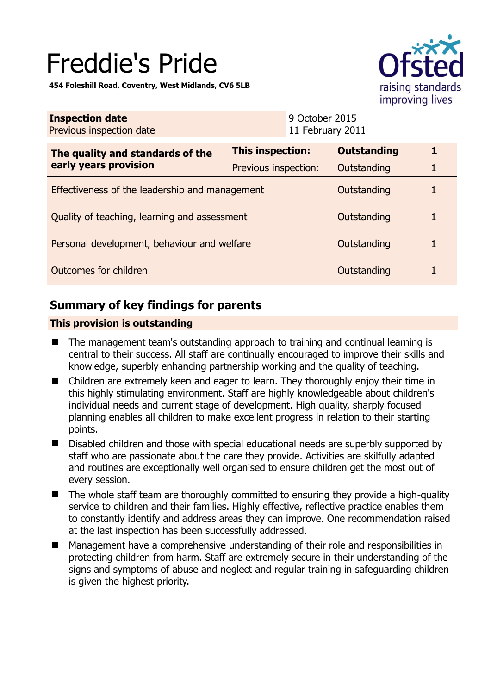# Freddie's Pride

**454 Foleshill Road, Coventry, West Midlands, CV6 5LB** 



| <b>Inspection date</b><br>Previous inspection date        | 9 October 2015<br>11 February 2011 |                    |   |
|-----------------------------------------------------------|------------------------------------|--------------------|---|
| The quality and standards of the<br>early years provision | This inspection:                   | <b>Outstanding</b> | 1 |
|                                                           | Previous inspection:               | Outstanding        |   |
| Effectiveness of the leadership and management            |                                    | Outstanding        |   |
| Quality of teaching, learning and assessment              |                                    | Outstanding        | 1 |
| Personal development, behaviour and welfare               |                                    | Outstanding        | 1 |
| Outcomes for children                                     |                                    | Outstanding        |   |

# **Summary of key findings for parents**

## **This provision is outstanding**

- The management team's outstanding approach to training and continual learning is central to their success. All staff are continually encouraged to improve their skills and knowledge, superbly enhancing partnership working and the quality of teaching.
- Children are extremely keen and eager to learn. They thoroughly enjoy their time in this highly stimulating environment. Staff are highly knowledgeable about children's individual needs and current stage of development. High quality, sharply focused planning enables all children to make excellent progress in relation to their starting points.
- Disabled children and those with special educational needs are superbly supported by staff who are passionate about the care they provide. Activities are skilfully adapted and routines are exceptionally well organised to ensure children get the most out of every session.
- $\blacksquare$  The whole staff team are thoroughly committed to ensuring they provide a high-quality service to children and their families. Highly effective, reflective practice enables them to constantly identify and address areas they can improve. One recommendation raised at the last inspection has been successfully addressed.
- Management have a comprehensive understanding of their role and responsibilities in protecting children from harm. Staff are extremely secure in their understanding of the signs and symptoms of abuse and neglect and regular training in safeguarding children is given the highest priority.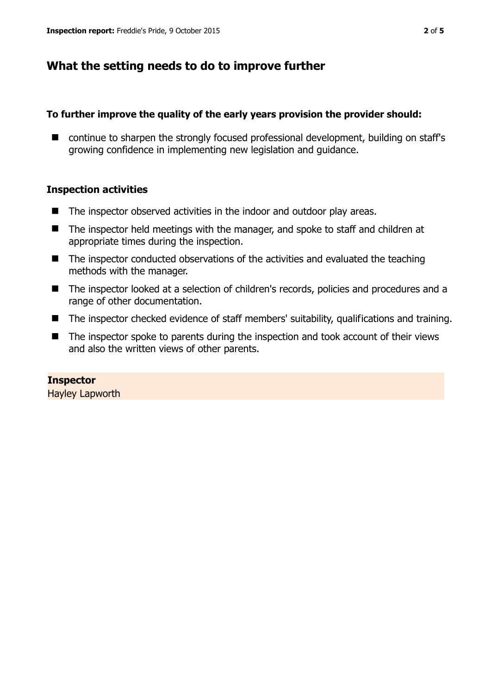# **What the setting needs to do to improve further**

#### **To further improve the quality of the early years provision the provider should:**

■ continue to sharpen the strongly focused professional development, building on staff's growing confidence in implementing new legislation and guidance.

### **Inspection activities**

- The inspector observed activities in the indoor and outdoor play areas.
- The inspector held meetings with the manager, and spoke to staff and children at appropriate times during the inspection.
- The inspector conducted observations of the activities and evaluated the teaching methods with the manager.
- The inspector looked at a selection of children's records, policies and procedures and a range of other documentation.
- The inspector checked evidence of staff members' suitability, qualifications and training.
- The inspector spoke to parents during the inspection and took account of their views and also the written views of other parents.

## **Inspector**

Hayley Lapworth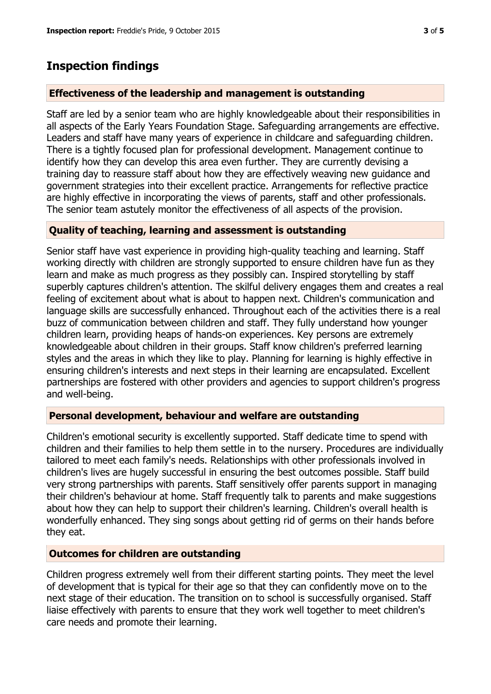## **Inspection findings**

#### **Effectiveness of the leadership and management is outstanding**

Staff are led by a senior team who are highly knowledgeable about their responsibilities in all aspects of the Early Years Foundation Stage. Safeguarding arrangements are effective. Leaders and staff have many years of experience in childcare and safeguarding children. There is a tightly focused plan for professional development. Management continue to identify how they can develop this area even further. They are currently devising a training day to reassure staff about how they are effectively weaving new guidance and government strategies into their excellent practice. Arrangements for reflective practice are highly effective in incorporating the views of parents, staff and other professionals. The senior team astutely monitor the effectiveness of all aspects of the provision.

#### **Quality of teaching, learning and assessment is outstanding**

Senior staff have vast experience in providing high-quality teaching and learning. Staff working directly with children are strongly supported to ensure children have fun as they learn and make as much progress as they possibly can. Inspired storytelling by staff superbly captures children's attention. The skilful delivery engages them and creates a real feeling of excitement about what is about to happen next. Children's communication and language skills are successfully enhanced. Throughout each of the activities there is a real buzz of communication between children and staff. They fully understand how younger children learn, providing heaps of hands-on experiences. Key persons are extremely knowledgeable about children in their groups. Staff know children's preferred learning styles and the areas in which they like to play. Planning for learning is highly effective in ensuring children's interests and next steps in their learning are encapsulated. Excellent partnerships are fostered with other providers and agencies to support children's progress and well-being.

#### **Personal development, behaviour and welfare are outstanding**

Children's emotional security is excellently supported. Staff dedicate time to spend with children and their families to help them settle in to the nursery. Procedures are individually tailored to meet each family's needs. Relationships with other professionals involved in children's lives are hugely successful in ensuring the best outcomes possible. Staff build very strong partnerships with parents. Staff sensitively offer parents support in managing their children's behaviour at home. Staff frequently talk to parents and make suggestions about how they can help to support their children's learning. Children's overall health is wonderfully enhanced. They sing songs about getting rid of germs on their hands before they eat.

#### **Outcomes for children are outstanding**

Children progress extremely well from their different starting points. They meet the level of development that is typical for their age so that they can confidently move on to the next stage of their education. The transition on to school is successfully organised. Staff liaise effectively with parents to ensure that they work well together to meet children's care needs and promote their learning.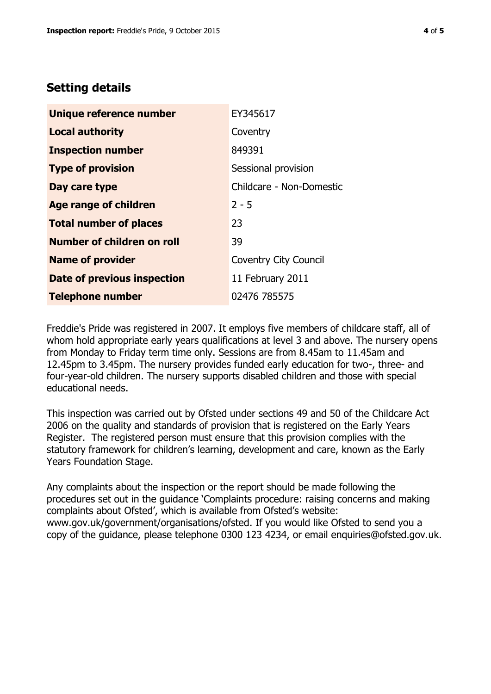# **Setting details**

| Unique reference number       | EY345617                     |
|-------------------------------|------------------------------|
| <b>Local authority</b>        | Coventry                     |
| <b>Inspection number</b>      | 849391                       |
| <b>Type of provision</b>      | Sessional provision          |
| Day care type                 | Childcare - Non-Domestic     |
| Age range of children         | $2 - 5$                      |
| <b>Total number of places</b> | 23                           |
| Number of children on roll    | 39                           |
| <b>Name of provider</b>       | <b>Coventry City Council</b> |
| Date of previous inspection   | 11 February 2011             |
| <b>Telephone number</b>       | 02476 785575                 |

Freddie's Pride was registered in 2007. It employs five members of childcare staff, all of whom hold appropriate early years qualifications at level 3 and above. The nursery opens from Monday to Friday term time only. Sessions are from 8.45am to 11.45am and 12.45pm to 3.45pm. The nursery provides funded early education for two-, three- and four-year-old children. The nursery supports disabled children and those with special educational needs.

This inspection was carried out by Ofsted under sections 49 and 50 of the Childcare Act 2006 on the quality and standards of provision that is registered on the Early Years Register. The registered person must ensure that this provision complies with the statutory framework for children's learning, development and care, known as the Early Years Foundation Stage.

Any complaints about the inspection or the report should be made following the procedures set out in the guidance 'Complaints procedure: raising concerns and making complaints about Ofsted', which is available from Ofsted's website: www.gov.uk/government/organisations/ofsted. If you would like Ofsted to send you a copy of the guidance, please telephone 0300 123 4234, or email enquiries@ofsted.gov.uk.